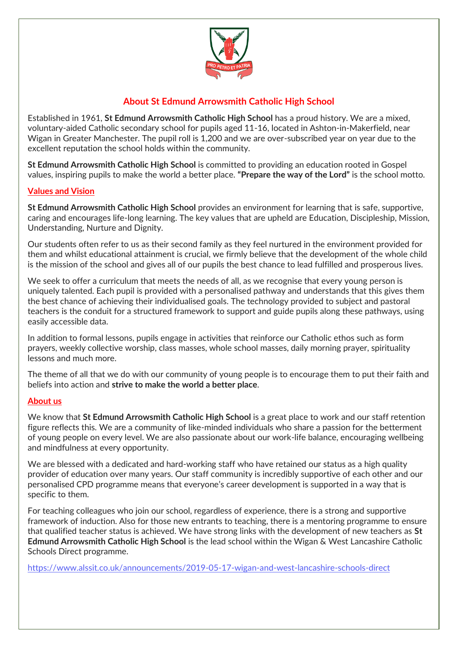

## **About St Edmund Arrowsmith Catholic High School**

Established in 1961, **St Edmund Arrowsmith Catholic High School** has a proud history. We are a mixed, voluntary-aided Catholic secondary school for pupils aged 11-16, located in Ashton-in-Makerfield, near Wigan in Greater Manchester. The pupil roll is 1,200 and we are over-subscribed year on year due to the excellent reputation the school holds within the community.

**St Edmund Arrowsmith Catholic High School** is committed to providing an education rooted in Gospel values, inspiring pupils to make the world a better place. **"Prepare the way of the Lord"** is the school motto.

## **Values and Vision**

**St Edmund Arrowsmith Catholic High School** provides an environment for learning that is safe, supportive, caring and encourages life-long learning. The key values that are upheld are Education, Discipleship, Mission, Understanding, Nurture and Dignity.

Our students often refer to us as their second family as they feel nurtured in the environment provided for them and whilst educational attainment is crucial, we firmly believe that the development of the whole child is the mission of the school and gives all of our pupils the best chance to lead fulfilled and prosperous lives.

We seek to offer a curriculum that meets the needs of all, as we recognise that every young person is uniquely talented. Each pupil is provided with a personalised pathway and understands that this gives them the best chance of achieving their individualised goals. The technology provided to subject and pastoral teachers is the conduit for a structured framework to support and guide pupils along these pathways, using easily accessible data.

In addition to formal lessons, pupils engage in activities that reinforce our Catholic ethos such as form prayers, weekly collective worship, class masses, whole school masses, daily morning prayer, spirituality lessons and much more.

The theme of all that we do with our community of young people is to encourage them to put their faith and beliefs into action and **strive to make the world a better place**.

## **About us**

We know that **St Edmund Arrowsmith Catholic High School** is a great place to work and our staff retention figure reflects this. We are a community of like-minded individuals who share a passion for the betterment of young people on every level. We are also passionate about our work-life balance, encouraging wellbeing and mindfulness at every opportunity.

We are blessed with a dedicated and hard-working staff who have retained our status as a high quality provider of education over many years. Our staff community is incredibly supportive of each other and our personalised CPD programme means that everyone's career development is supported in a way that is specific to them.

For teaching colleagues who join our school, regardless of experience, there is a strong and supportive framework of induction. Also for those new entrants to teaching, there is a mentoring programme to ensure that qualified teacher status is achieved. We have strong links with the development of new teachers as **St Edmund Arrowsmith Catholic High School** is the lead school within the Wigan & West Lancashire Catholic Schools Direct programme.

<https://www.alssit.co.uk/announcements/2019-05-17-wigan-and-west-lancashire-schools-direct>